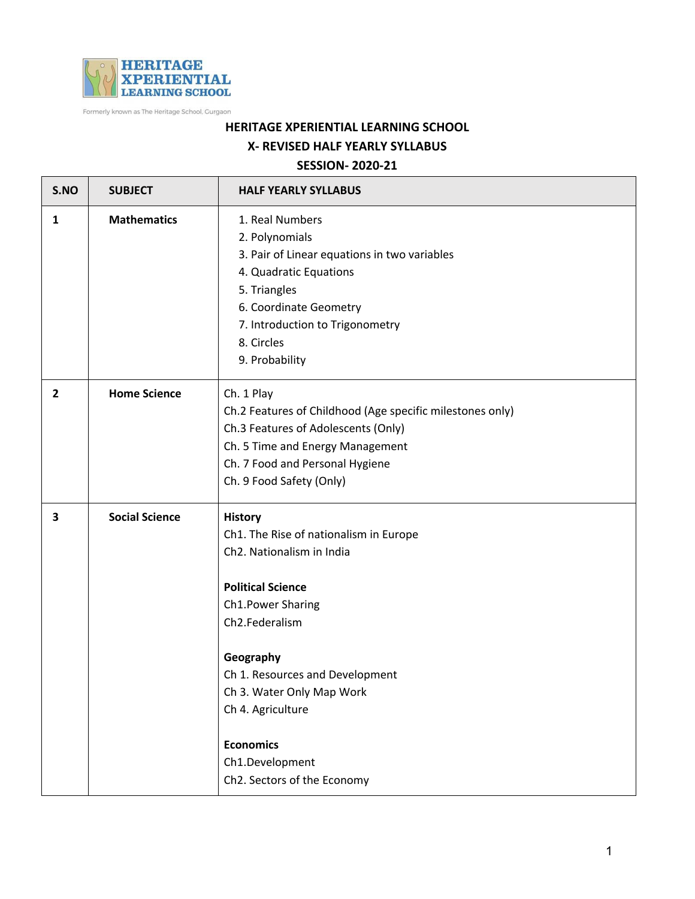

Formerly known as The Heritage School, Gurgaon

## **HERITAGE XPERIENTIAL LEARNING SCHOOL X- REVISED HALF YEARLY SYLLABUS**

## **SESSION- 2020-21**

| S.NO           | <b>SUBJECT</b>        | <b>HALF YEARLY SYLLABUS</b>                                                                                                                                                                                                                                                                                                      |
|----------------|-----------------------|----------------------------------------------------------------------------------------------------------------------------------------------------------------------------------------------------------------------------------------------------------------------------------------------------------------------------------|
| 1              | <b>Mathematics</b>    | 1. Real Numbers<br>2. Polynomials<br>3. Pair of Linear equations in two variables<br>4. Quadratic Equations<br>5. Triangles<br>6. Coordinate Geometry<br>7. Introduction to Trigonometry<br>8. Circles<br>9. Probability                                                                                                         |
| $\overline{2}$ | <b>Home Science</b>   | Ch. 1 Play<br>Ch.2 Features of Childhood (Age specific milestones only)<br>Ch.3 Features of Adolescents (Only)<br>Ch. 5 Time and Energy Management<br>Ch. 7 Food and Personal Hygiene<br>Ch. 9 Food Safety (Only)                                                                                                                |
| 3              | <b>Social Science</b> | <b>History</b><br>Ch1. The Rise of nationalism in Europe<br>Ch2. Nationalism in India<br><b>Political Science</b><br>Ch1.Power Sharing<br>Ch2.Federalism<br>Geography<br>Ch 1. Resources and Development<br>Ch 3. Water Only Map Work<br>Ch 4. Agriculture<br><b>Economics</b><br>Ch1.Development<br>Ch2. Sectors of the Economy |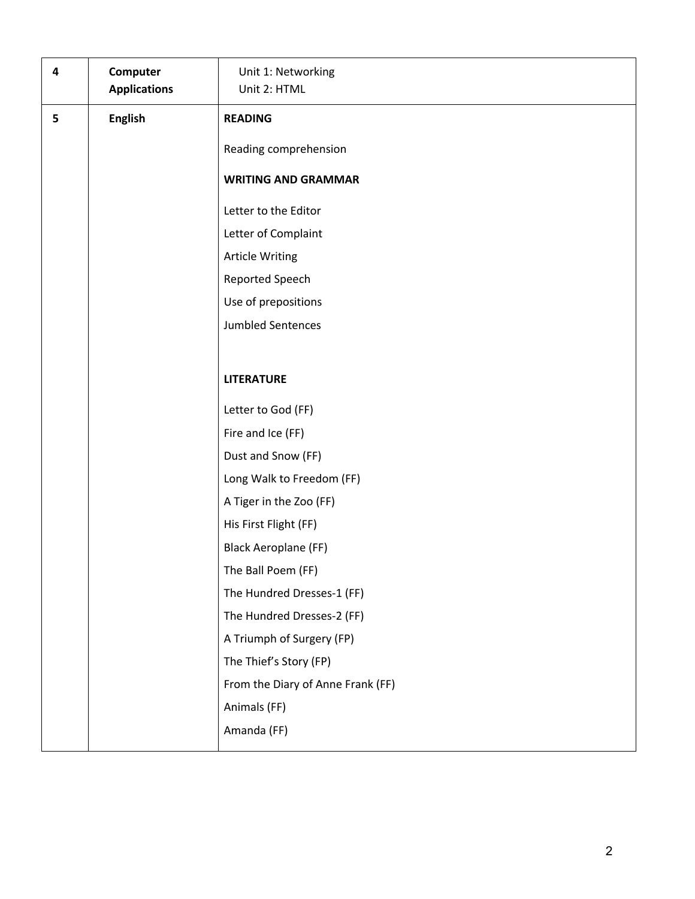| 4 | Computer<br><b>Applications</b> | Unit 1: Networking<br>Unit 2: HTML |
|---|---------------------------------|------------------------------------|
| 5 | <b>English</b>                  | <b>READING</b>                     |
|   |                                 | Reading comprehension              |
|   |                                 | <b>WRITING AND GRAMMAR</b>         |
|   |                                 |                                    |
|   |                                 | Letter to the Editor               |
|   |                                 | Letter of Complaint                |
|   |                                 | <b>Article Writing</b>             |
|   |                                 | Reported Speech                    |
|   |                                 | Use of prepositions                |
|   |                                 | <b>Jumbled Sentences</b>           |
|   |                                 |                                    |
|   |                                 | <b>LITERATURE</b>                  |
|   |                                 | Letter to God (FF)                 |
|   |                                 | Fire and Ice (FF)                  |
|   |                                 | Dust and Snow (FF)                 |
|   |                                 | Long Walk to Freedom (FF)          |
|   |                                 | A Tiger in the Zoo (FF)            |
|   |                                 | His First Flight (FF)              |
|   |                                 | <b>Black Aeroplane (FF)</b>        |
|   |                                 | The Ball Poem (FF)                 |
|   |                                 | The Hundred Dresses-1 (FF)         |
|   |                                 | The Hundred Dresses-2 (FF)         |
|   |                                 | A Triumph of Surgery (FP)          |
|   |                                 | The Thief's Story (FP)             |
|   |                                 | From the Diary of Anne Frank (FF)  |
|   |                                 | Animals (FF)                       |
|   |                                 | Amanda (FF)                        |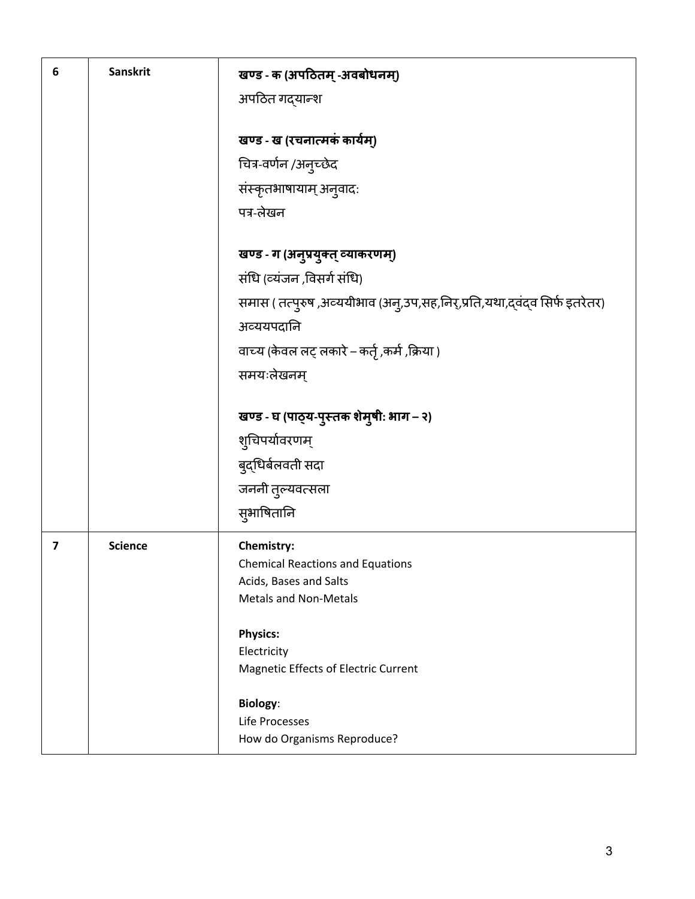| 6 | <b>Sanskrit</b> | खण्ड - क (अपठितम् -अवबोधनम्)                                               |
|---|-----------------|----------------------------------------------------------------------------|
|   |                 | अपठित गद्यान्श                                                             |
|   |                 |                                                                            |
|   |                 | खण्ड - ख (रचनात्मकं कार्यम्)                                               |
|   |                 | चित्र-वर्णन /अनुच्छेद                                                      |
|   |                 | संस्कृतभाषायाम् अनुवादः                                                    |
|   |                 | पत्र-लेखन                                                                  |
|   |                 |                                                                            |
|   |                 | खण्ड - ग (अनुप्रयुक्त् व्याकरणम्)                                          |
|   |                 | संधि (व्यंजन ,विसर्ग संधि)                                                 |
|   |                 | समास ( तत्पुरुष ,अव्ययीभाव (अनु,उप,सह,निर्,प्रति,यथा,द्वंद्व सिर्फ इतरेतर) |
|   |                 | अव्ययपदानि                                                                 |
|   |                 | वाच्य (केवल लट् लकारे – कर्तृ ,कर्म ,क्रिया )                              |
|   |                 | समयःलेखनम्                                                                 |
|   |                 | खण्ड - घ (पाठ्य-पुस्तक शेमुषी: भाग - २)                                    |
|   |                 | शुचिपर्यावरणम्                                                             |
|   |                 | बुद्धिर्बलवती सदा                                                          |
|   |                 | जननी तुल्यवत्सला                                                           |
|   |                 | सुभाषितानि                                                                 |
|   |                 |                                                                            |
| 7 | <b>Science</b>  | Chemistry:                                                                 |
|   |                 | <b>Chemical Reactions and Equations</b><br>Acids, Bases and Salts          |
|   |                 | <b>Metals and Non-Metals</b>                                               |
|   |                 |                                                                            |
|   |                 | <b>Physics:</b>                                                            |
|   |                 | Electricity<br>Magnetic Effects of Electric Current                        |
|   |                 |                                                                            |
|   |                 | <b>Biology:</b>                                                            |
|   |                 | Life Processes<br>How do Organisms Reproduce?                              |
|   |                 |                                                                            |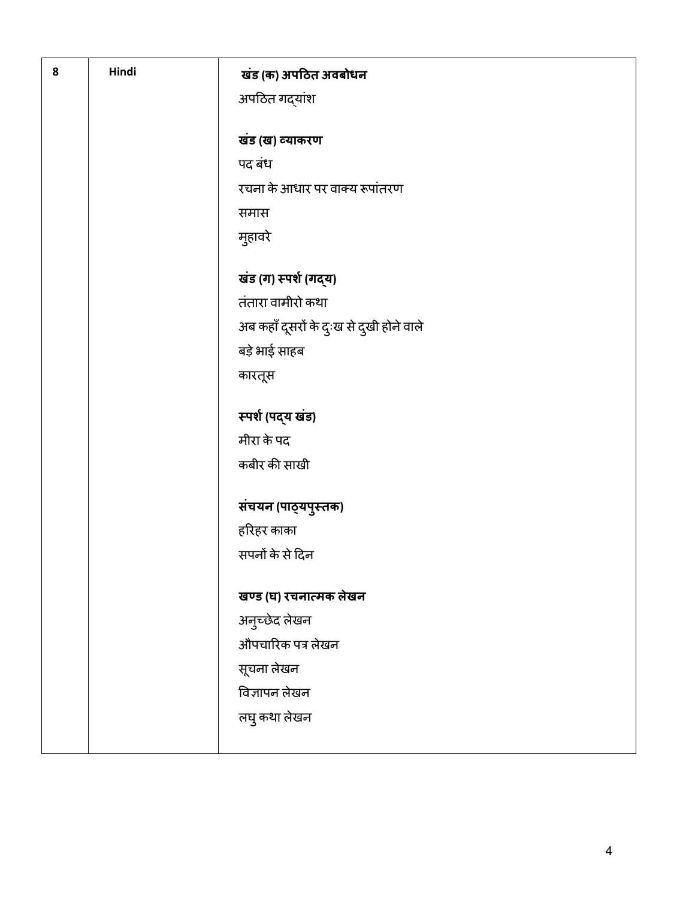| 8 | Hindi | खंड (क) अपठित अवबोधन<br>अपठित गद्यांश    |
|---|-------|------------------------------------------|
|   |       | खंड (ख) व्याकरण                          |
|   |       | पद बंध                                   |
|   |       | रचना के आधार पर वाक्य रूपांतरण           |
|   |       | समास                                     |
|   |       | मुहावरे                                  |
|   |       | खंड (ग) स्पर्श (गद्य)                    |
|   |       | तंतारा वामीरो कथा                        |
|   |       | अब कहाँ दूसरों के दुःख से दुखी होने वाले |
|   |       | बड़े भाई साहब                            |
|   |       | कारतूस                                   |
|   |       | स्पर्श (पद्य खंड)                        |
|   |       | मीरा के पद                               |
|   |       | कबीर की साखी                             |
|   |       | संचयन (पाठ्यपुस्तक)                      |
|   |       | हरिहर काका                               |
|   |       | सपनों के से दिन                          |
|   |       | खण्ड (घ) रचनात्मक लेखन                   |
|   |       | अनुच्छेद लेखन                            |
|   |       | औपचारिक पत्र लेखन                        |
|   |       | सूचना लेखन                               |
|   |       | विज्ञापन लेखन                            |
|   |       | लघु कथा लेखन                             |
|   |       |                                          |